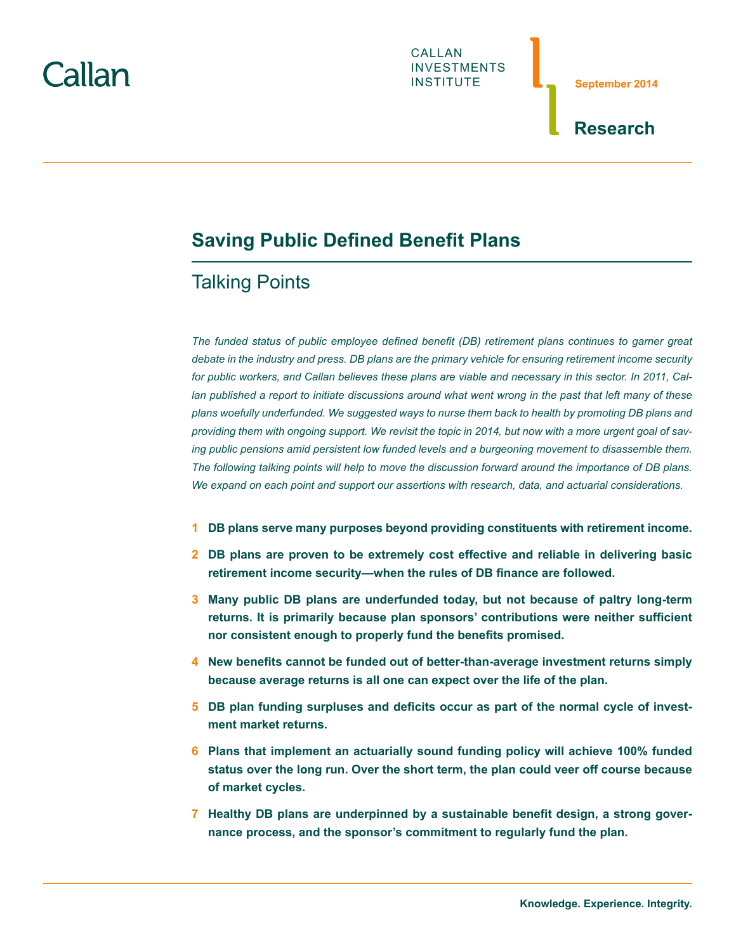# `allan



**September 2014**

## **Research**

# **Saving Public Defined Benefit Plans**

# Talking Points

*The funded status of public employee defined benefit (DB) retirement plans continues to garner great debate in the industry and press. DB plans are the primary vehicle for ensuring retirement income security for public workers, and Callan believes these plans are viable and necessary in this sector. In 2011, Cal*lan published a report to initiate discussions around what went wrong in the past that left many of these *plans woefully underfunded. We suggested ways to nurse them back to health by promoting DB plans and providing them with ongoing support. We revisit the topic in 2014, but now with a more urgent goal of saving public pensions amid persistent low funded levels and a burgeoning movement to disassemble them. The following talking points will help to move the discussion forward around the importance of DB plans. We expand on each point and support our assertions with research, data, and actuarial considerations.*

- **1 [DB plans serve many purposes beyond providing constituents with retirement income.](#page-1-0)**
- **2 [DB plans are proven to be extremely cost effective and reliable in delivering basic](#page-1-0)  [retirement income security—when the rules of DB finance are followed.](#page-1-0)**
- **3 [Many public DB plans are underfunded today, but not because of paltry long-term](#page-3-0)  [returns. It is primarily because plan sponsors' contributions were neither sufficient](#page-3-0) [nor consistent enough to properly fund the benefits promised.](#page-3-0)**
- **4 [New benefits cannot be funded out of better-than-average investment returns simply](#page-4-0)  [because average returns is all one can expect over the life of the plan.](#page-4-0)**
- **5 [DB plan funding surpluses and deficits occur as part of the normal cycle of invest](#page-5-0)[ment market returns.](#page-5-0)**
- **6 [Plans that implement an actuarially sound funding policy will achieve 100% funded](#page-5-0)  [status over the long run. Over the short term, the plan could veer off course because](#page-5-0) [of market cycles.](#page-5-0)**
- **7 [Healthy DB plans are underpinned by a sustainable benefit design, a strong gover](#page-5-0)[nance process, and the sponsor's commitment to regularly fund the plan.](#page-5-0)**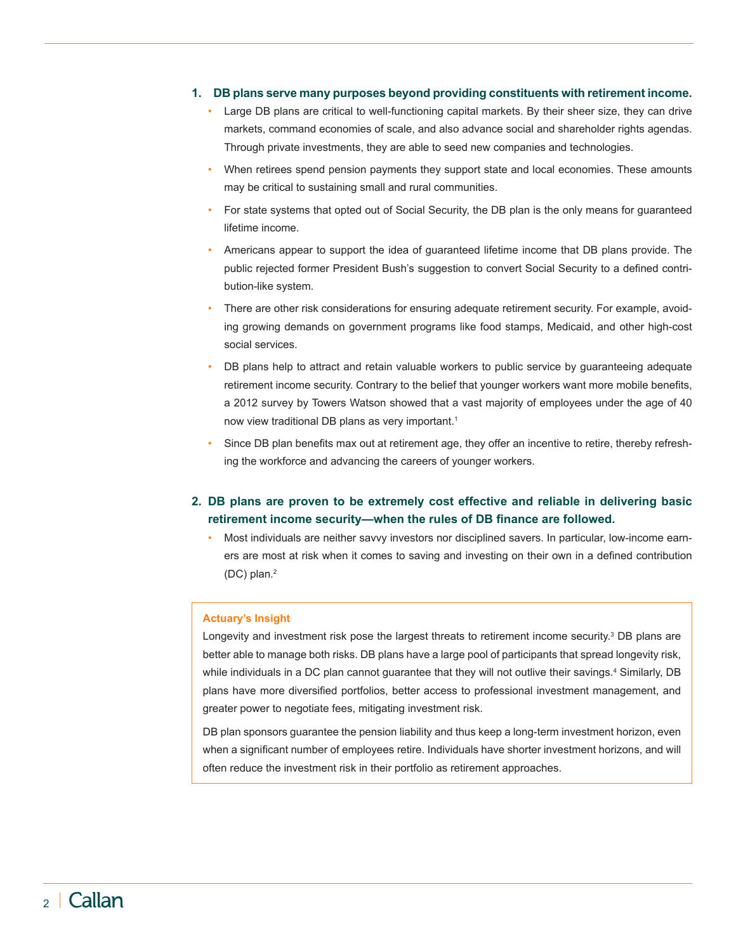## <span id="page-1-0"></span>**1. DB plans serve many purposes beyond providing constituents with retirement income.**

- Large DB plans are critical to well-functioning capital markets. By their sheer size, they can drive markets, command economies of scale, and also advance social and shareholder rights agendas. Through private investments, they are able to seed new companies and technologies.
- When retirees spend pension payments they support state and local economies. These amounts may be critical to sustaining small and rural communities.
- For state systems that opted out of Social Security, the DB plan is the only means for quaranteed lifetime income.
- Americans appear to support the idea of guaranteed lifetime income that DB plans provide. The public rejected former President Bush's suggestion to convert Social Security to a defined contribution-like system.
- There are other risk considerations for ensuring adequate retirement security. For example, avoiding growing demands on government programs like food stamps, Medicaid, and other high-cost social services.
- DB plans help to attract and retain valuable workers to public service by guaranteeing adequate retirement income security. Contrary to the belief that younger workers want more mobile benefits, a 2012 survey by Towers Watson showed that a vast majority of employees under the age of 40 now view traditional DB plans as very important.<sup>1</sup>
- Since DB plan benefits max out at retirement age, they offer an incentive to retire, thereby refreshing the workforce and advancing the careers of younger workers.

## **2. DB plans are proven to be extremely cost effective and reliable in delivering basic retirement income security—when the rules of DB finance are followed.**

• Most individuals are neither savvy investors nor disciplined savers. In particular, low-income earners are most at risk when it comes to saving and investing on their own in a defined contribution (DC) plan.[2](#page-6-1)

#### **Actuary's Insight**

Longevity and investment risk pose the largest threats to retirement income security.<sup>3</sup> DB plans are better able to manage both risks. DB plans have a large pool of participants that spread longevity risk, while individuals in a DC plan cannot guarantee that they will not outlive their savings[.4](#page-6-3) Similarly, DB plans have more diversified portfolios, better access to professional investment management, and greater power to negotiate fees, mitigating investment risk.

DB plan sponsors guarantee the pension liability and thus keep a long-term investment horizon, even when a significant number of employees retire. Individuals have shorter investment horizons, and will often reduce the investment risk in their portfolio as retirement approaches.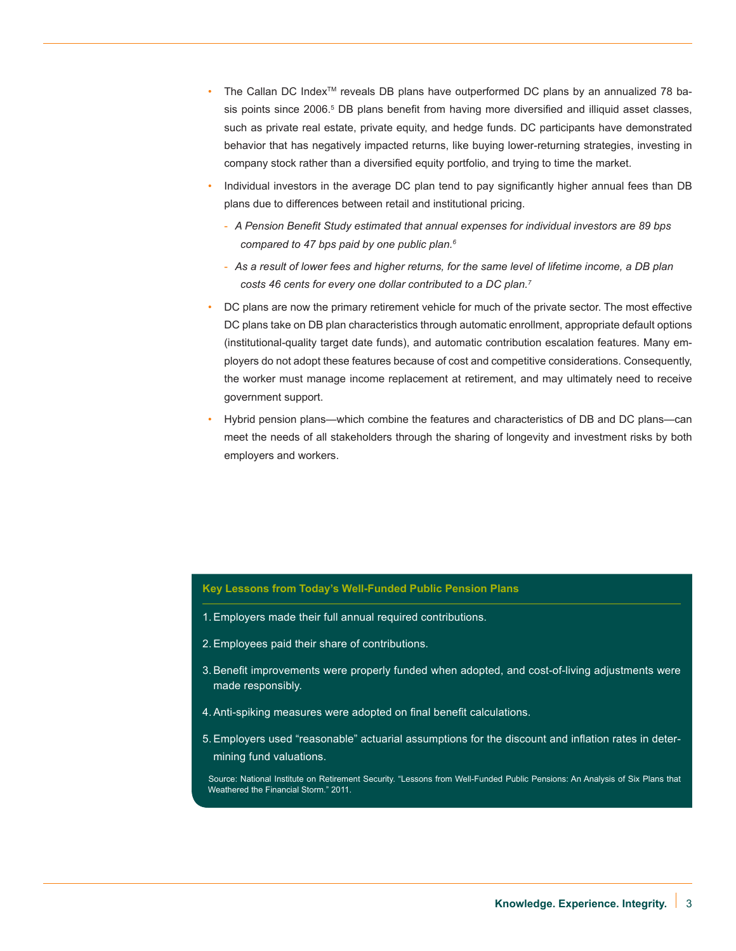- The Callan DC Index<sup>TM</sup> reveals DB plans have outperformed DC plans by an annualized 78 basis points since 2006.<sup>5</sup> DB plans benefit from having more diversified and illiquid asset classes, such as private real estate, private equity, and hedge funds. DC participants have demonstrated behavior that has negatively impacted returns, like buying lower-returning strategies, investing in company stock rather than a diversified equity portfolio, and trying to time the market.
- Individual investors in the average DC plan tend to pay significantly higher annual fees than DB plans due to differences between retail and institutional pricing.
	- *A Pension Benefit Study estimated that annual expenses for individual investors are 89 bps compared to 47 bps paid by one public plan.[6](#page-6-5)*
	- *As a result of lower fees and higher returns, for the same level of lifetime income, a DB plan costs 46 cents for every one dollar contributed to a DC plan[.7](#page-6-6)*
- DC plans are now the primary retirement vehicle for much of the private sector. The most effective DC plans take on DB plan characteristics through automatic enrollment, appropriate default options (institutional-quality target date funds), and automatic contribution escalation features. Many employers do not adopt these features because of cost and competitive considerations. Consequently, the worker must manage income replacement at retirement, and may ultimately need to receive government support.
- Hybrid pension plans—which combine the features and characteristics of DB and DC plans—can meet the needs of all stakeholders through the sharing of longevity and investment risks by both employers and workers.

## **Key Lessons from Today's Well-Funded Public Pension Plans**

- 1.Employers made their full annual required contributions.
- 2.Employees paid their share of contributions.
- 3.Benefit improvements were properly funded when adopted, and cost-of-living adjustments were made responsibly.
- 4.Anti-spiking measures were adopted on final benefit calculations.
- 5.Employers used "reasonable" actuarial assumptions for the discount and inflation rates in determining fund valuations.

 Source: National Institute on Retirement Security. "Lessons from Well-Funded Public Pensions: An Analysis of Six Plans that Weathered the Financial Storm." 2011.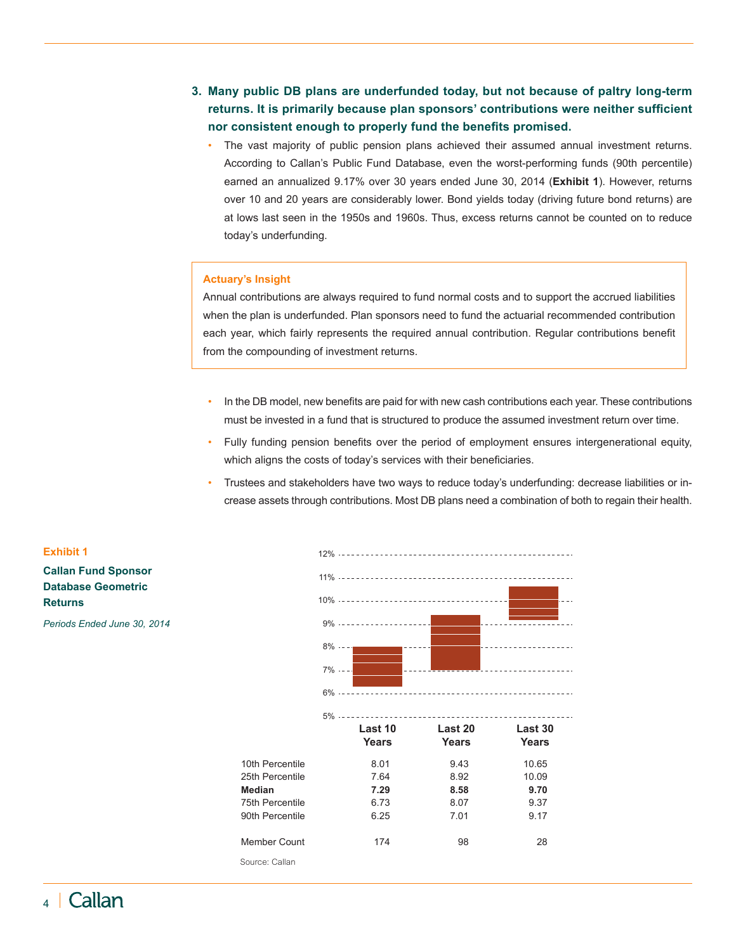- <span id="page-3-0"></span>**3. Many public DB plans are underfunded today, but not because of paltry long-term returns. It is primarily because plan sponsors' contributions were neither sufficient nor consistent enough to properly fund the benefits promised.** 
	- • The vast majority of public pension plans achieved their assumed annual investment returns. According to Callan's Public Fund Database, even the worst-performing funds (90th percentile) earned an annualized 9.17% over 30 years ended June 30, 2014 (**Exhibit 1**). However, returns over 10 and 20 years are considerably lower. Bond yields today (driving future bond returns) are at lows last seen in the 1950s and 1960s. Thus, excess returns cannot be counted on to reduce today's underfunding.

#### **Actuary's Insight**

Annual contributions are always required to fund normal costs and to support the accrued liabilities when the plan is underfunded. Plan sponsors need to fund the actuarial recommended contribution each year, which fairly represents the required annual contribution. Regular contributions benefit from the compounding of investment returns.

- In the DB model, new benefits are paid for with new cash contributions each year. These contributions must be invested in a fund that is structured to produce the assumed investment return over time.
- Fully funding pension benefits over the period of employment ensures intergenerational equity, which aligns the costs of today's services with their beneficiaries.
- Trustees and stakeholders have two ways to reduce today's underfunding: decrease liabilities or increase assets through contributions. Most DB plans need a combination of both to regain their health.



## **Exhibit 1 Callan Fund Sponsor Database Geometric Returns**

*Periods Ended June 30, 2014*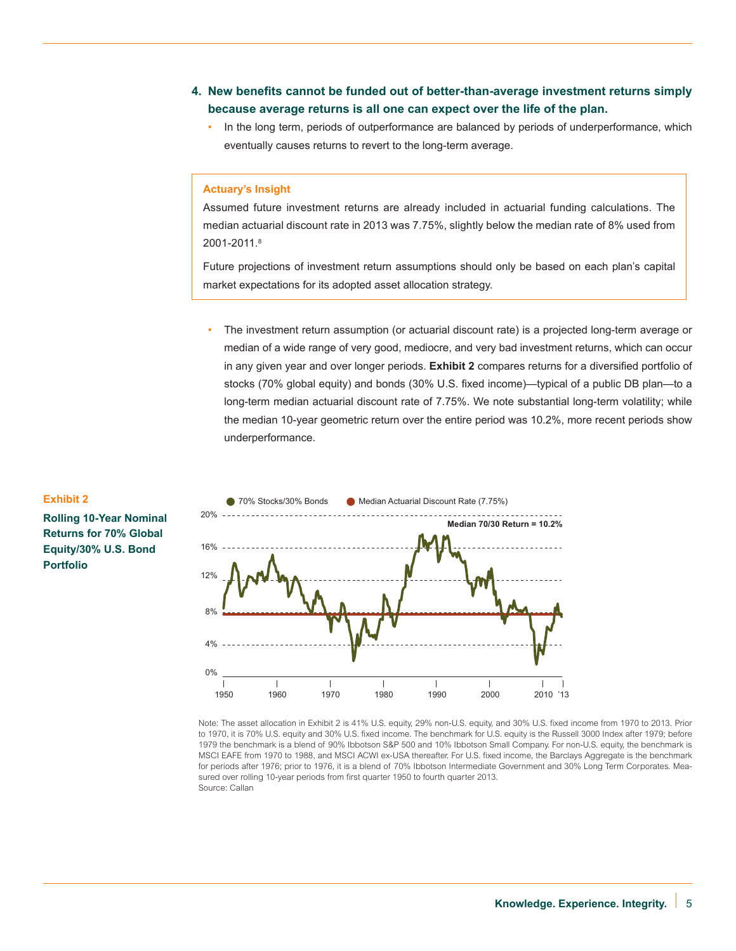- <span id="page-4-0"></span>**4. New benefits cannot be funded out of better-than-average investment returns simply because average returns is all one can expect over the life of the plan.** 
	- In the long term, periods of outperformance are balanced by periods of underperformance, which eventually causes returns to revert to the long-term average.

## **Actuary's Insight**

Assumed future investment returns are already included in actuarial funding calculations. The median actuarial discount rate in 2013 was 7.75%, slightly below the median rate of 8% used from 2001-2011.[8](#page-6-7)

Future projections of investment return assumptions should only be based on each plan's capital market expectations for its adopted asset allocation strategy.

The investment return assumption (or actuarial discount rate) is a projected long-term average or median of a wide range of very good, mediocre, and very bad investment returns, which can occur in any given year and over longer periods. **Exhibit 2** compares returns for a diversified portfolio of stocks (70% global equity) and bonds (30% U.S. fixed income)—typical of a public DB plan—to a long-term median actuarial discount rate of 7.75%. We note substantial long-term volatility; while the median 10-year geometric return over the entire period was 10.2%, more recent periods show underperformance.



Note: The asset allocation in Exhibit 2 is 41% U.S. equity, 29% non-U.S. equity, and 30% U.S. fixed income from 1970 to 2013. Prior to 1970, it is 70% U.S. equity and 30% U.S. fixed income. The benchmark for U.S. equity is the Russell 3000 Index after 1979; before 1979 the benchmark is a blend of 90% Ibbotson S&P 500 and 10% Ibbotson Small Company. For non-U.S. equity, the benchmark is MSCI EAFE from 1970 to 1988, and MSCI ACWI ex-USA thereafter. For U.S. fixed income, the Barclays Aggregate is the benchmark for periods after 1976; prior to 1976, it is a blend of 70% Ibbotson Intermediate Government and 30% Long Term Corporates. Measured over rolling 10-year periods from first quarter 1950 to fourth quarter 2013. Source: Callan

## **Exhibit 2**

**Rolling 10-Year Nominal Returns for 70% Global Equity/30% U.S. Bond Portfolio**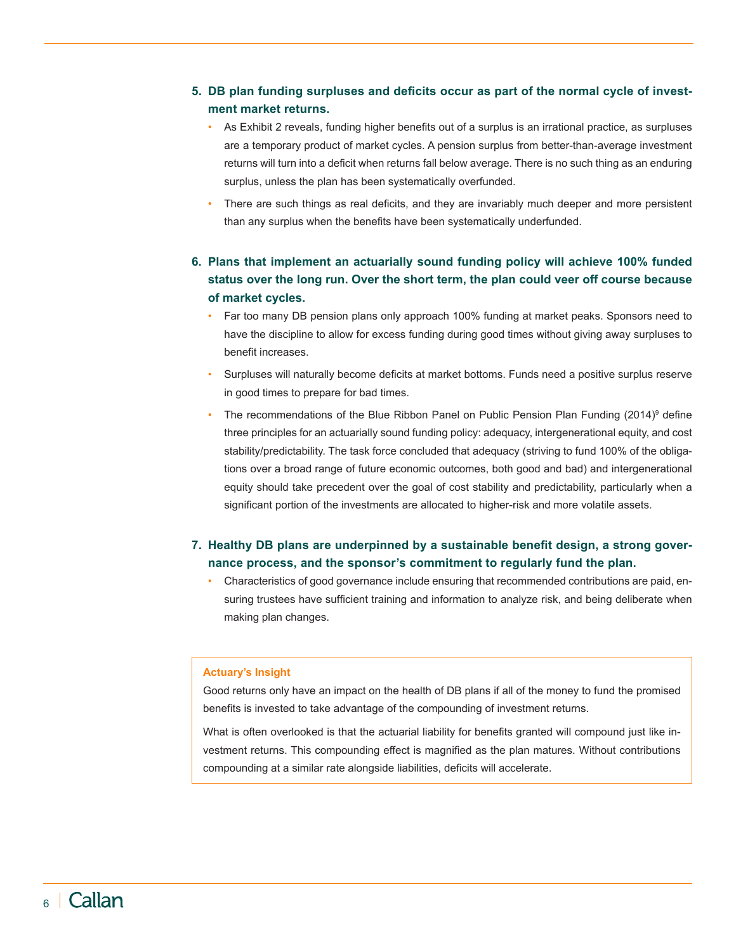## <span id="page-5-0"></span>**5. DB plan funding surpluses and deficits occur as part of the normal cycle of investment market returns.**

- As Exhibit 2 reveals, funding higher benefits out of a surplus is an irrational practice, as surpluses are a temporary product of market cycles. A pension surplus from better-than-average investment returns will turn into a deficit when returns fall below average. There is no such thing as an enduring surplus, unless the plan has been systematically overfunded.
- There are such things as real deficits, and they are invariably much deeper and more persistent than any surplus when the benefits have been systematically underfunded.

## **6. Plans that implement an actuarially sound funding policy will achieve 100% funded status over the long run. Over the short term, the plan could veer off course because of market cycles.**

- Far too many DB pension plans only approach 100% funding at market peaks. Sponsors need to have the discipline to allow for excess funding during good times without giving away surpluses to benefit increases.
- Surpluses will naturally become deficits at market bottoms. Funds need a positive surplus reserve in good times to prepare for bad times.
- The recommendations of the Blue Ribbon Panel on Public Pension Plan Funding (2014)<sup>9</sup> define three principles for an actuarially sound funding policy: adequacy, intergenerational equity, and cost stability/predictability. The task force concluded that adequacy (striving to fund 100% of the obligations over a broad range of future economic outcomes, both good and bad) and intergenerational equity should take precedent over the goal of cost stability and predictability, particularly when a significant portion of the investments are allocated to higher-risk and more volatile assets.

## **7. Healthy DB plans are underpinned by a sustainable benefit design, a strong governance process, and the sponsor's commitment to regularly fund the plan.**

Characteristics of good governance include ensuring that recommended contributions are paid, ensuring trustees have sufficient training and information to analyze risk, and being deliberate when making plan changes.

## **Actuary's Insight**

Good returns only have an impact on the health of DB plans if all of the money to fund the promised benefits is invested to take advantage of the compounding of investment returns.

What is often overlooked is that the actuarial liability for benefits granted will compound just like investment returns. This compounding effect is magnified as the plan matures. Without contributions compounding at a similar rate alongside liabilities, deficits will accelerate.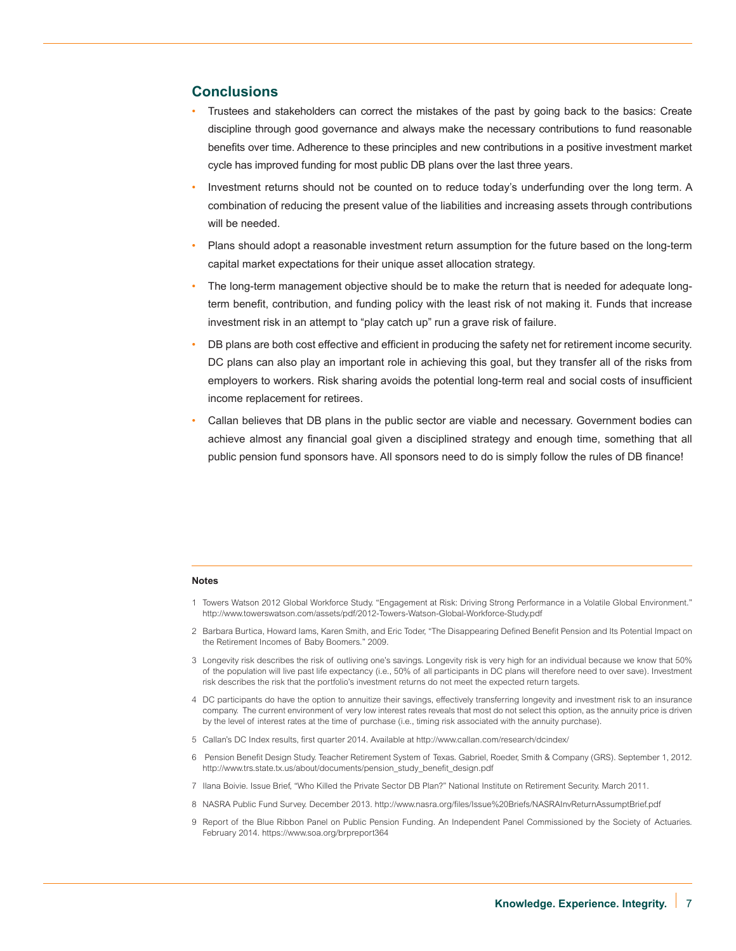## **Conclusions**

- Trustees and stakeholders can correct the mistakes of the past by going back to the basics: Create discipline through good governance and always make the necessary contributions to fund reasonable benefits over time. Adherence to these principles and new contributions in a positive investment market cycle has improved funding for most public DB plans over the last three years.
- Investment returns should not be counted on to reduce today's underfunding over the long term. A combination of reducing the present value of the liabilities and increasing assets through contributions will be needed.
- Plans should adopt a reasonable investment return assumption for the future based on the long-term capital market expectations for their unique asset allocation strategy.
- The long-term management objective should be to make the return that is needed for adequate longterm benefit, contribution, and funding policy with the least risk of not making it. Funds that increase investment risk in an attempt to "play catch up" run a grave risk of failure.
- DB plans are both cost effective and efficient in producing the safety net for retirement income security. DC plans can also play an important role in achieving this goal, but they transfer all of the risks from employers to workers. Risk sharing avoids the potential long-term real and social costs of insufficient income replacement for retirees.
- Callan believes that DB plans in the public sector are viable and necessary. Government bodies can achieve almost any financial goal given a disciplined strategy and enough time, something that all public pension fund sponsors have. All sponsors need to do is simply follow the rules of DB finance!

#### **Notes**

- <span id="page-6-0"></span>1 Towers Watson 2012 Global Workforce Study. "Engagement at Risk: Driving Strong Performance in a Volatile Global Environment." http://www.towerswatson.com/assets/pdf/2012-Towers-Watson-Global-Workforce-Study.pdf
- <span id="page-6-1"></span>2 Barbara Burtica, Howard Iams, Karen Smith, and Eric Toder, "The Disappearing Defined Benefit Pension and Its Potential Impact on the Retirement Incomes of Baby Boomers." 2009.
- <span id="page-6-2"></span>3 Longevity risk describes the risk of outliving one's savings. Longevity risk is very high for an individual because we know that 50% of the population will live past life expectancy (i.e., 50% of all participants in DC plans will therefore need to over save). Investment risk describes the risk that the portfolio's investment returns do not meet the expected return targets.
- <span id="page-6-3"></span>4 DC participants do have the option to annuitize their savings, effectively transferring longevity and investment risk to an insurance company. The current environment of very low interest rates reveals that most do not select this option, as the annuity price is driven by the level of interest rates at the time of purchase (i.e., timing risk associated with the annuity purchase).
- <span id="page-6-4"></span>5 Callan's DC Index results, first quarter 2014. Available at [http://www.callan.com/research/dcindex/](http://www.callan.com/research/dcindex)
- <span id="page-6-5"></span>6 Pension Benefit Design Study. Teacher Retirement System of Texas. Gabriel, Roeder, Smith & Company (GRS). September 1, 2012. http://www.trs.state.tx.us/about/documents/pension\_study\_benefit\_design.pdf
- <span id="page-6-6"></span>7 Ilana Boivie. Issue Brief, "Who Killed the Private Sector DB Plan?" National Institute on Retirement Security. March 2011.
- <span id="page-6-7"></span>8 NASRA Public Fund Survey. December 2013. http://www.nasra.org/files/Issue%20Briefs/NASRAInvReturnAssumptBrief.pdf
- <span id="page-6-8"></span>9 Report of the Blue Ribbon Panel on Public Pension Funding. An Independent Panel Commissioned by the Society of Actuaries. February 2014. https://www.soa.org/brpreport364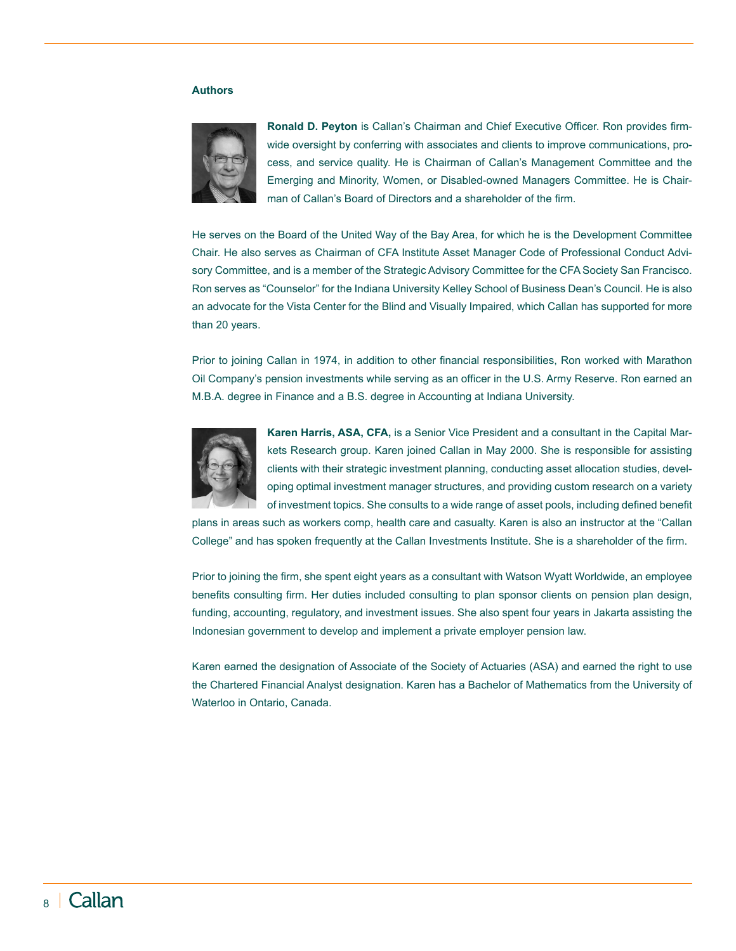#### **Authors**



**Ronald D. Peyton** is Callan's Chairman and Chief Executive Officer. Ron provides firmwide oversight by conferring with associates and clients to improve communications, process, and service quality. He is Chairman of Callan's Management Committee and the Emerging and Minority, Women, or Disabled-owned Managers Committee. He is Chairman of Callan's Board of Directors and a shareholder of the firm.

He serves on the Board of the United Way of the Bay Area, for which he is the Development Committee Chair. He also serves as Chairman of CFA Institute Asset Manager Code of Professional Conduct Advisory Committee, and is a member of the Strategic Advisory Committee for the CFA Society San Francisco. Ron serves as "Counselor" for the Indiana University Kelley School of Business Dean's Council. He is also an advocate for the Vista Center for the Blind and Visually Impaired, which Callan has supported for more than 20 years.

Prior to joining Callan in 1974, in addition to other financial responsibilities, Ron worked with Marathon Oil Company's pension investments while serving as an officer in the U.S. Army Reserve. Ron earned an M.B.A. degree in Finance and a B.S. degree in Accounting at Indiana University.



**Karen Harris, ASA, CFA,** is a Senior Vice President and a consultant in the Capital Markets Research group. Karen joined Callan in May 2000. She is responsible for assisting clients with their strategic investment planning, conducting asset allocation studies, developing optimal investment manager structures, and providing custom research on a variety of investment topics. She consults to a wide range of asset pools, including defined benefit

plans in areas such as workers comp, health care and casualty. Karen is also an instructor at the "Callan College" and has spoken frequently at the Callan Investments Institute. She is a shareholder of the firm.

Prior to joining the firm, she spent eight years as a consultant with Watson Wyatt Worldwide, an employee benefits consulting firm. Her duties included consulting to plan sponsor clients on pension plan design, funding, accounting, regulatory, and investment issues. She also spent four years in Jakarta assisting the Indonesian government to develop and implement a private employer pension law.

Karen earned the designation of Associate of the Society of Actuaries (ASA) and earned the right to use the Chartered Financial Analyst designation. Karen has a Bachelor of Mathematics from the University of Waterloo in Ontario, Canada.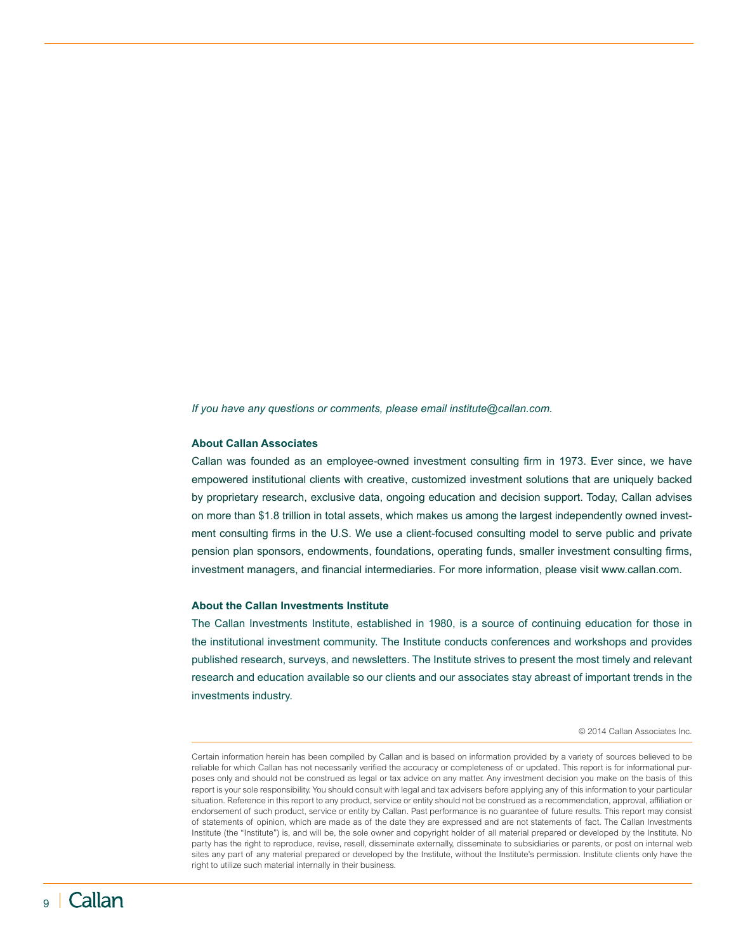*If you have any questions or comments, please email institute@callan.com.*

#### **About Callan Associates**

Callan was founded as an employee-owned investment consulting firm in 1973. Ever since, we have empowered institutional clients with creative, customized investment solutions that are uniquely backed by proprietary research, exclusive data, ongoing education and decision support. Today, Callan advises on more than \$1.8 trillion in total assets, which makes us among the largest independently owned investment consulting firms in the U.S. We use a client-focused consulting model to serve public and private pension plan sponsors, endowments, foundations, operating funds, smaller investment consulting firms, investment managers, and financial intermediaries. For more information, please visit www.callan.com.

#### **About the Callan Investments Institute**

The Callan Investments Institute, established in 1980, is a source of continuing education for those in the institutional investment community. The Institute conducts conferences and workshops and provides published research, surveys, and newsletters. The Institute strives to present the most timely and relevant research and education available so our clients and our associates stay abreast of important trends in the investments industry.

© 2014 Callan Associates Inc.

Certain information herein has been compiled by Callan and is based on information provided by a variety of sources believed to be reliable for which Callan has not necessarily verified the accuracy or completeness of or updated. This report is for informational purposes only and should not be construed as legal or tax advice on any matter. Any investment decision you make on the basis of this report is your sole responsibility. You should consult with legal and tax advisers before applying any of this information to your particular situation. Reference in this report to any product, service or entity should not be construed as a recommendation, approval, affiliation or endorsement of such product, service or entity by Callan. Past performance is no guarantee of future results. This report may consist of statements of opinion, which are made as of the date they are expressed and are not statements of fact. The Callan Investments Institute (the "Institute") is, and will be, the sole owner and copyright holder of all material prepared or developed by the Institute. No party has the right to reproduce, revise, resell, disseminate externally, disseminate to subsidiaries or parents, or post on internal web sites any part of any material prepared or developed by the Institute, without the Institute's permission. Institute clients only have the right to utilize such material internally in their business.